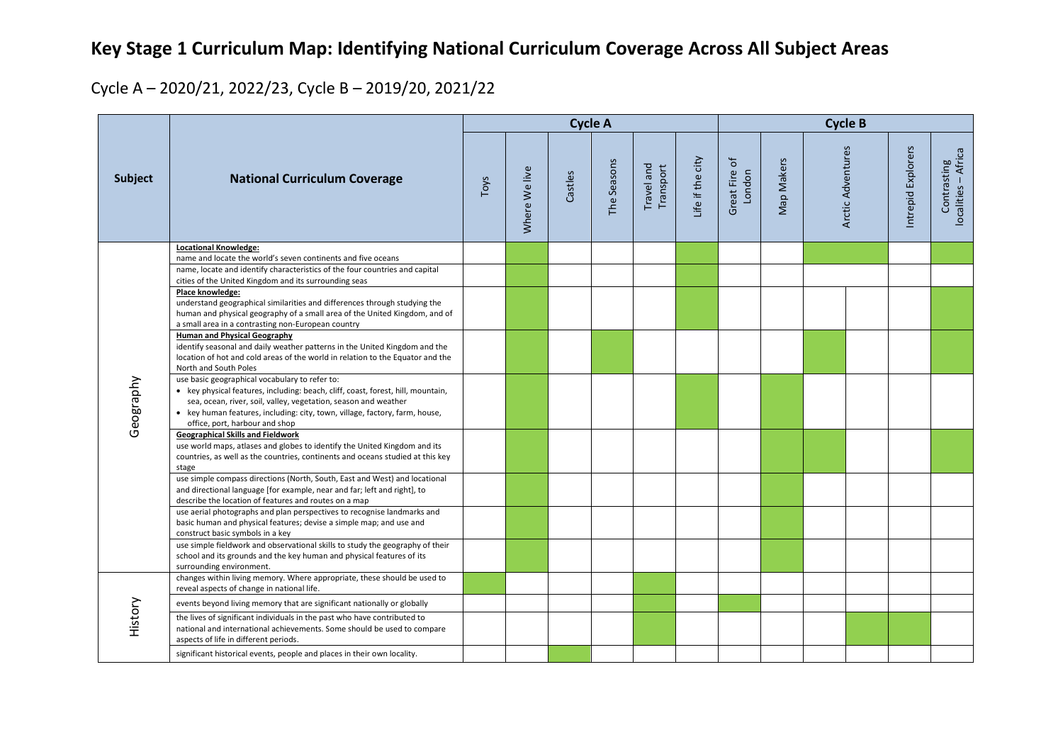## **Key Stage 1 Curriculum Map: Identifying National Curriculum Coverage Across All Subject Areas**

## Cycle A – 2020/21, 2022/23, Cycle B – 2019/20, 2021/22

|           | <b>National Curriculum Coverage</b>                                                                                                                                                                                                |      |               | <b>Cycle A</b> |             |                         | <b>Cycle B</b>   |                     |            |  |                   |                    |                                    |
|-----------|------------------------------------------------------------------------------------------------------------------------------------------------------------------------------------------------------------------------------------|------|---------------|----------------|-------------|-------------------------|------------------|---------------------|------------|--|-------------------|--------------------|------------------------------------|
| Subject   |                                                                                                                                                                                                                                    | Toys | Where We live | Castles        | The Seasons | Travel and<br>Transport | Life if the city | ᡃᡠ<br>Great Fire of | Map Makers |  | Arctic Adventures | Intrepid Explorers | Contrasting<br>localities – Africa |
|           | <b>Locational Knowledge:</b>                                                                                                                                                                                                       |      |               |                |             |                         |                  |                     |            |  |                   |                    |                                    |
|           | name and locate the world's seven continents and five oceans<br>name, locate and identify characteristics of the four countries and capital                                                                                        |      |               |                |             |                         |                  |                     |            |  |                   |                    |                                    |
|           | cities of the United Kingdom and its surrounding seas                                                                                                                                                                              |      |               |                |             |                         |                  |                     |            |  |                   |                    |                                    |
|           | Place knowledge:                                                                                                                                                                                                                   |      |               |                |             |                         |                  |                     |            |  |                   |                    |                                    |
|           | understand geographical similarities and differences through studying the<br>human and physical geography of a small area of the United Kingdom, and of<br>a small area in a contrasting non-European country                      |      |               |                |             |                         |                  |                     |            |  |                   |                    |                                    |
| Geography | <b>Human and Physical Geography</b>                                                                                                                                                                                                |      |               |                |             |                         |                  |                     |            |  |                   |                    |                                    |
|           | identify seasonal and daily weather patterns in the United Kingdom and the<br>location of hot and cold areas of the world in relation to the Equator and the<br>North and South Poles                                              |      |               |                |             |                         |                  |                     |            |  |                   |                    |                                    |
|           | use basic geographical vocabulary to refer to:                                                                                                                                                                                     |      |               |                |             |                         |                  |                     |            |  |                   |                    |                                    |
|           | • key physical features, including: beach, cliff, coast, forest, hill, mountain,<br>sea, ocean, river, soil, valley, vegetation, season and weather<br>• key human features, including: city, town, village, factory, farm, house, |      |               |                |             |                         |                  |                     |            |  |                   |                    |                                    |
|           | office, port, harbour and shop                                                                                                                                                                                                     |      |               |                |             |                         |                  |                     |            |  |                   |                    |                                    |
|           | Geographical Skills and Fieldwork<br>use world maps, atlases and globes to identify the United Kingdom and its<br>countries, as well as the countries, continents and oceans studied at this key<br>stage                          |      |               |                |             |                         |                  |                     |            |  |                   |                    |                                    |
|           | use simple compass directions (North, South, East and West) and locational<br>and directional language [for example, near and far; left and right], to<br>describe the location of features and routes on a map                    |      |               |                |             |                         |                  |                     |            |  |                   |                    |                                    |
|           | use aerial photographs and plan perspectives to recognise landmarks and<br>basic human and physical features; devise a simple map; and use and<br>construct basic symbols in a key                                                 |      |               |                |             |                         |                  |                     |            |  |                   |                    |                                    |
|           | use simple fieldwork and observational skills to study the geography of their<br>school and its grounds and the key human and physical features of its<br>surrounding environment.                                                 |      |               |                |             |                         |                  |                     |            |  |                   |                    |                                    |
|           | changes within living memory. Where appropriate, these should be used to<br>reveal aspects of change in national life.                                                                                                             |      |               |                |             |                         |                  |                     |            |  |                   |                    |                                    |
|           | events beyond living memory that are significant nationally or globally                                                                                                                                                            |      |               |                |             |                         |                  |                     |            |  |                   |                    |                                    |
| History   | the lives of significant individuals in the past who have contributed to<br>national and international achievements. Some should be used to compare<br>aspects of life in different periods.                                       |      |               |                |             |                         |                  |                     |            |  |                   |                    |                                    |
|           | significant historical events, people and places in their own locality.                                                                                                                                                            |      |               |                |             |                         |                  |                     |            |  |                   |                    |                                    |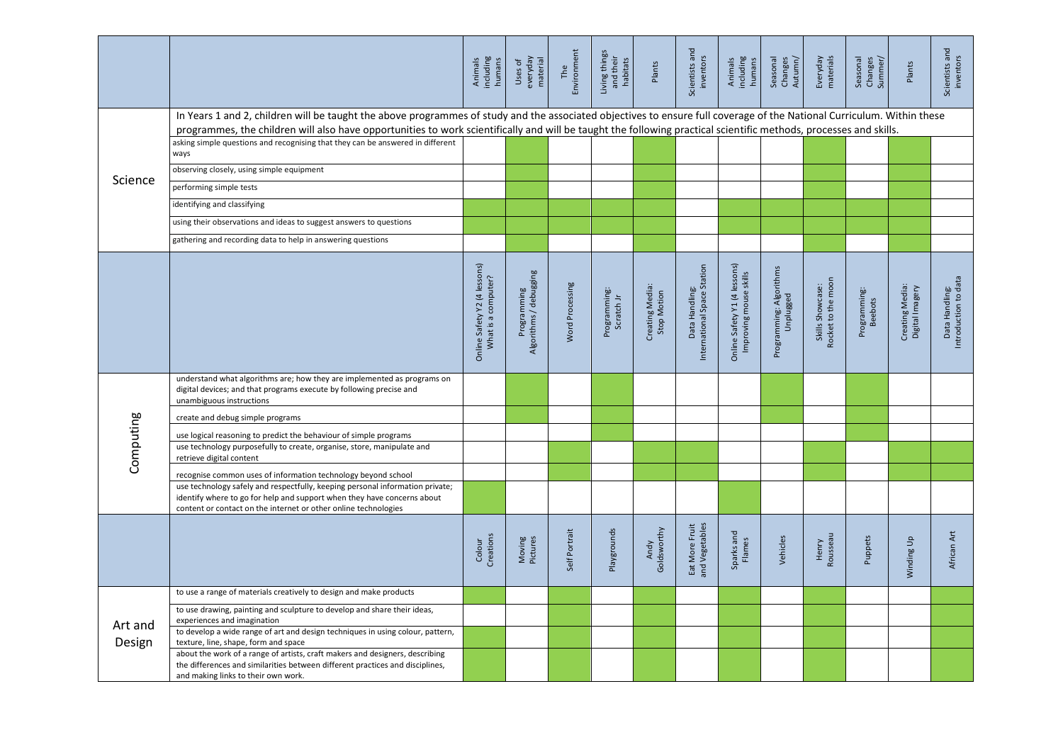|                   |                                                                                                                                                                                                                                                                                                                                             | Animals<br>including<br>humans                      | everyday<br>material<br>Uses of       | Environment<br>The | Living things<br>and their<br>habitats | Plants                         | Scientists and<br>inventors                   | including<br>Animals<br>humans                         | Seasonal<br>Changes<br>Autumn/       | Everyday<br>materials                  | Seasonal<br>Changes<br>Summer/ | Plants                             | Scientists and<br>inventors            |
|-------------------|---------------------------------------------------------------------------------------------------------------------------------------------------------------------------------------------------------------------------------------------------------------------------------------------------------------------------------------------|-----------------------------------------------------|---------------------------------------|--------------------|----------------------------------------|--------------------------------|-----------------------------------------------|--------------------------------------------------------|--------------------------------------|----------------------------------------|--------------------------------|------------------------------------|----------------------------------------|
|                   | In Years 1 and 2, children will be taught the above programmes of study and the associated objectives to ensure full coverage of the National Curriculum. Within these<br>programmes, the children will also have opportunities to work scientifically and will be taught the following practical scientific methods, processes and skills. |                                                     |                                       |                    |                                        |                                |                                               |                                                        |                                      |                                        |                                |                                    |                                        |
|                   | asking simple questions and recognising that they can be answered in different<br>ways                                                                                                                                                                                                                                                      |                                                     |                                       |                    |                                        |                                |                                               |                                                        |                                      |                                        |                                |                                    |                                        |
|                   | observing closely, using simple equipment                                                                                                                                                                                                                                                                                                   |                                                     |                                       |                    |                                        |                                |                                               |                                                        |                                      |                                        |                                |                                    |                                        |
| Science           | performing simple tests                                                                                                                                                                                                                                                                                                                     |                                                     |                                       |                    |                                        |                                |                                               |                                                        |                                      |                                        |                                |                                    |                                        |
|                   | identifying and classifying                                                                                                                                                                                                                                                                                                                 |                                                     |                                       |                    |                                        |                                |                                               |                                                        |                                      |                                        |                                |                                    |                                        |
|                   | using their observations and ideas to suggest answers to questions                                                                                                                                                                                                                                                                          |                                                     |                                       |                    |                                        |                                |                                               |                                                        |                                      |                                        |                                |                                    |                                        |
|                   | gathering and recording data to help in answering questions                                                                                                                                                                                                                                                                                 |                                                     |                                       |                    |                                        |                                |                                               |                                                        |                                      |                                        |                                |                                    |                                        |
|                   |                                                                                                                                                                                                                                                                                                                                             | Online Safety Y2 (4 lessons)<br>What is a computer? | Programming<br>Algorithms / debugging | Word Processing    | Programming:<br>Scratch Jr             | Creating Media:<br>Stop Motion | International Space Station<br>Data Handling: | Online Safety Y1 (4 lessons)<br>Improving mouse skills | Programming: Algorithms<br>Unplugged | Rocket to the moon<br>Skills Showcase: | Programming:<br>Beebots        | Creating Media:<br>Digital Imagery | Data Handling:<br>Introduction to data |
|                   | understand what algorithms are; how they are implemented as programs on<br>digital devices; and that programs execute by following precise and<br>unambiguous instructions                                                                                                                                                                  |                                                     |                                       |                    |                                        |                                |                                               |                                                        |                                      |                                        |                                |                                    |                                        |
|                   | create and debug simple programs                                                                                                                                                                                                                                                                                                            |                                                     |                                       |                    |                                        |                                |                                               |                                                        |                                      |                                        |                                |                                    |                                        |
|                   | use logical reasoning to predict the behaviour of simple programs                                                                                                                                                                                                                                                                           |                                                     |                                       |                    |                                        |                                |                                               |                                                        |                                      |                                        |                                |                                    |                                        |
| Computing         | use technology purposefully to create, organise, store, manipulate and<br>retrieve digital content                                                                                                                                                                                                                                          |                                                     |                                       |                    |                                        |                                |                                               |                                                        |                                      |                                        |                                |                                    |                                        |
|                   | recognise common uses of information technology beyond school                                                                                                                                                                                                                                                                               |                                                     |                                       |                    |                                        |                                |                                               |                                                        |                                      |                                        |                                |                                    |                                        |
|                   | use technology safely and respectfully, keeping personal information private;<br>identify where to go for help and support when they have concerns about<br>content or contact on the internet or other online technologies                                                                                                                 |                                                     |                                       |                    |                                        |                                |                                               |                                                        |                                      |                                        |                                |                                    |                                        |
|                   |                                                                                                                                                                                                                                                                                                                                             | Creations<br>Colour                                 | Moving<br>Pictures                    | Self Portrait      | Playgrounds                            | Goldsworthy<br>Andy            | Eat More Fruit<br>and Vegetables              | Sparks and<br>Flames                                   | Vehicles                             | Henry<br>Rousseau                      | Puppets                        | Winding Up                         | African Art                            |
|                   | to use a range of materials creatively to design and make products                                                                                                                                                                                                                                                                          |                                                     |                                       |                    |                                        |                                |                                               |                                                        |                                      |                                        |                                |                                    |                                        |
| Art and<br>Design | to use drawing, painting and sculpture to develop and share their ideas,<br>experiences and imagination                                                                                                                                                                                                                                     |                                                     |                                       |                    |                                        |                                |                                               |                                                        |                                      |                                        |                                |                                    |                                        |
|                   | to develop a wide range of art and design techniques in using colour, pattern,<br>texture, line, shape, form and space                                                                                                                                                                                                                      |                                                     |                                       |                    |                                        |                                |                                               |                                                        |                                      |                                        |                                |                                    |                                        |
|                   | about the work of a range of artists, craft makers and designers, describing<br>the differences and similarities between different practices and disciplines,<br>and making links to their own work.                                                                                                                                        |                                                     |                                       |                    |                                        |                                |                                               |                                                        |                                      |                                        |                                |                                    |                                        |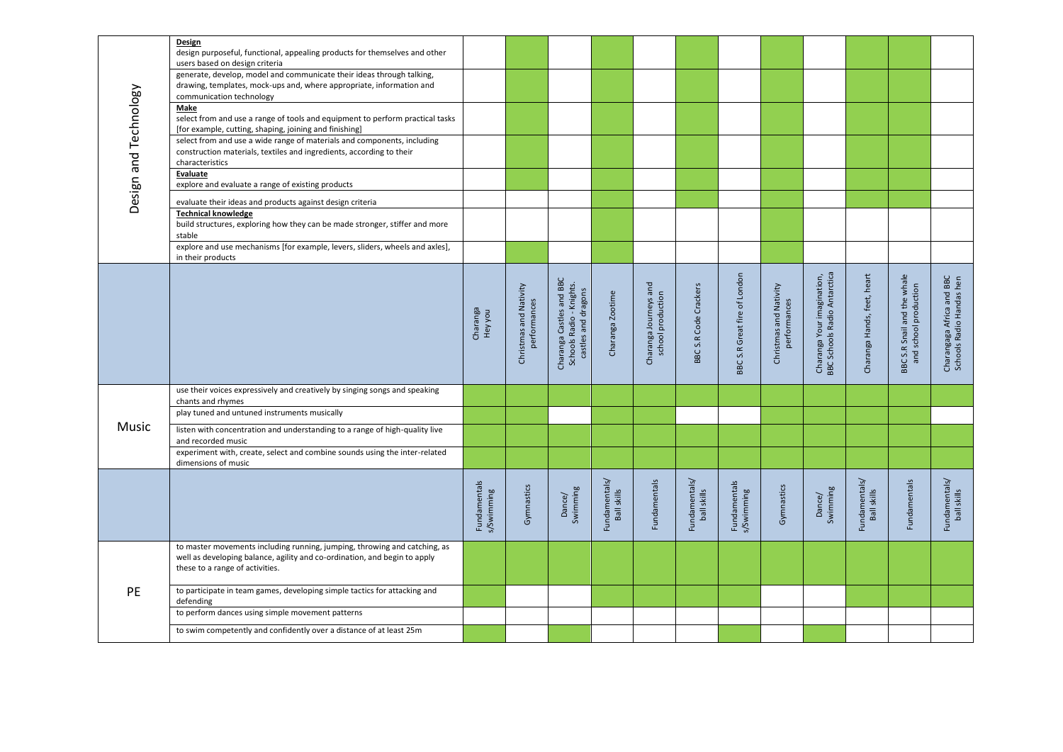| Design and Technology | Design<br>design purposeful, functional, appealing products for themselves and other<br>users based on design criteria                                                                    |                            |                                        |                                                                             |                              |                                            |                              |                              |                                        |                                                            |                              |                                                             |                                                       |
|-----------------------|-------------------------------------------------------------------------------------------------------------------------------------------------------------------------------------------|----------------------------|----------------------------------------|-----------------------------------------------------------------------------|------------------------------|--------------------------------------------|------------------------------|------------------------------|----------------------------------------|------------------------------------------------------------|------------------------------|-------------------------------------------------------------|-------------------------------------------------------|
|                       | generate, develop, model and communicate their ideas through talking,<br>drawing, templates, mock-ups and, where appropriate, information and<br>communication technology                 |                            |                                        |                                                                             |                              |                                            |                              |                              |                                        |                                                            |                              |                                                             |                                                       |
|                       | Make<br>select from and use a range of tools and equipment to perform practical tasks<br>[for example, cutting, shaping, joining and finishing]                                           |                            |                                        |                                                                             |                              |                                            |                              |                              |                                        |                                                            |                              |                                                             |                                                       |
|                       | select from and use a wide range of materials and components, including<br>construction materials, textiles and ingredients, according to their<br>characteristics                        |                            |                                        |                                                                             |                              |                                            |                              |                              |                                        |                                                            |                              |                                                             |                                                       |
|                       | Evaluate<br>explore and evaluate a range of existing products                                                                                                                             |                            |                                        |                                                                             |                              |                                            |                              |                              |                                        |                                                            |                              |                                                             |                                                       |
|                       | evaluate their ideas and products against design criteria                                                                                                                                 |                            |                                        |                                                                             |                              |                                            |                              |                              |                                        |                                                            |                              |                                                             |                                                       |
|                       | <b>Technical knowledge</b><br>build structures, exploring how they can be made stronger, stiffer and more<br>stable                                                                       |                            |                                        |                                                                             |                              |                                            |                              |                              |                                        |                                                            |                              |                                                             |                                                       |
|                       | explore and use mechanisms [for example, levers, sliders, wheels and axles],<br>in their products                                                                                         |                            |                                        |                                                                             |                              |                                            |                              |                              |                                        |                                                            |                              |                                                             |                                                       |
|                       |                                                                                                                                                                                           | Charanga<br>Hey you        | Christmas and Nativity<br>performances | Charanga Castles and BBC<br>Schools Radio - Knights.<br>castles and dragons | Charanga Zootime             | Charanga Journeys and<br>school production | BBC S.R Code Crackers        | BBC S.R Great fire of London | Christmas and Nativity<br>performances | Charanga Your imagination,<br>BBC Schools Radio Antarctica | Charanga Hands, feet, heart  | the whale<br>and school production<br>S.R Snail and<br>BBC: | Charangaga Africa and BBC<br>Schools Radio Handas hen |
|                       |                                                                                                                                                                                           |                            |                                        |                                                                             |                              |                                            |                              |                              |                                        |                                                            |                              |                                                             |                                                       |
|                       | use their voices expressively and creatively by singing songs and speaking<br>chants and rhymes                                                                                           |                            |                                        |                                                                             |                              |                                            |                              |                              |                                        |                                                            |                              |                                                             |                                                       |
|                       | play tuned and untuned instruments musically                                                                                                                                              |                            |                                        |                                                                             |                              |                                            |                              |                              |                                        |                                                            |                              |                                                             |                                                       |
| Music                 | listen with concentration and understanding to a range of high-quality live<br>and recorded music                                                                                         |                            |                                        |                                                                             |                              |                                            |                              |                              |                                        |                                                            |                              |                                                             |                                                       |
|                       | experiment with, create, select and combine sounds using the inter-related<br>dimensions of music                                                                                         |                            |                                        |                                                                             |                              |                                            |                              |                              |                                        |                                                            |                              |                                                             |                                                       |
|                       |                                                                                                                                                                                           | Fundamentals<br>s/Swimming | Gymnastics                             | Dance/<br>Swimming                                                          | Fundamentals/<br>Ball skills | Fundamentals                               | Fundamentals/<br>ball skills | Fundamentals<br>s/Swimming   | Gymnastics                             | Swimming<br>Dance/                                         | Fundamentals/<br>Ball skills | Fundamentals                                                | Fundamentals/<br>ball skills                          |
|                       | to master movements including running, jumping, throwing and catching, as<br>well as developing balance, agility and co-ordination, and begin to apply<br>these to a range of activities. |                            |                                        |                                                                             |                              |                                            |                              |                              |                                        |                                                            |                              |                                                             |                                                       |
| PE                    | to participate in team games, developing simple tactics for attacking and<br>defending                                                                                                    |                            |                                        |                                                                             |                              |                                            |                              |                              |                                        |                                                            |                              |                                                             |                                                       |
|                       | to perform dances using simple movement patterns                                                                                                                                          |                            |                                        |                                                                             |                              |                                            |                              |                              |                                        |                                                            |                              |                                                             |                                                       |
|                       | to swim competently and confidently over a distance of at least 25m                                                                                                                       |                            |                                        |                                                                             |                              |                                            |                              |                              |                                        |                                                            |                              |                                                             |                                                       |